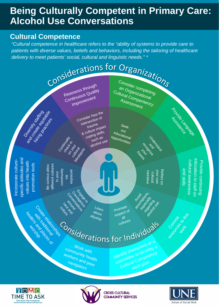## **Being Culturally Competent in Primary Care: Alcohol Use Conversations**

#### **Cultural Competence**

**TIME TO ASK** 

*"Cultural competence in healthcare refers to the "ability of systems to provide care to patients with diverse values, beliefs and behaviors, including the tailoring of healthcare delivery to meet patients' social, cultural and linguistic needs." \**



COMMUNITY SERVICES